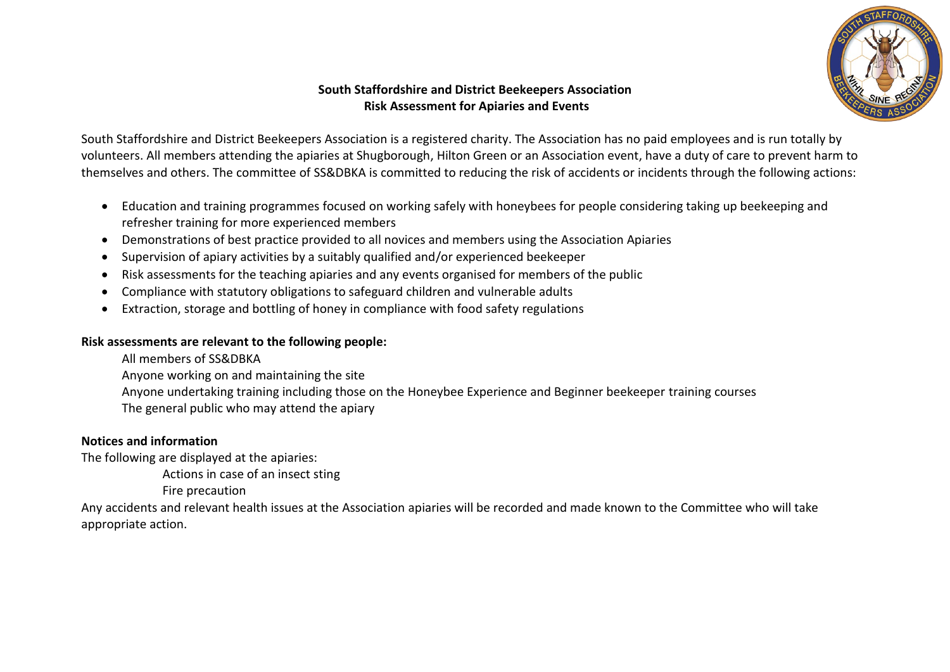

# **South Staffordshire and District Beekeepers Association Risk Assessment for Apiaries and Events**

South Staffordshire and District Beekeepers Association is a registered charity. The Association has no paid employees and is run totally by volunteers. All members attending the apiaries at Shugborough, Hilton Green or an Association event, have a duty of care to prevent harm to themselves and others. The committee of SS&DBKA is committed to reducing the risk of accidents or incidents through the following actions:

- Education and training programmes focused on working safely with honeybees for people considering taking up beekeeping and refresher training for more experienced members
- Demonstrations of best practice provided to all novices and members using the Association Apiaries
- Supervision of apiary activities by a suitably qualified and/or experienced beekeeper
- Risk assessments for the teaching apiaries and any events organised for members of the public
- Compliance with statutory obligations to safeguard children and vulnerable adults
- Extraction, storage and bottling of honey in compliance with food safety regulations

#### **Risk assessments are relevant to the following people:**

- All members of SS&DBKA
- Anyone working on and maintaining the site
- Anyone undertaking training including those on the Honeybee Experience and Beginner beekeeper training courses
- The general public who may attend the apiary

# **Notices and information**

The following are displayed at the apiaries:

Actions in case of an insect sting

Fire precaution

Any accidents and relevant health issues at the Association apiaries will be recorded and made known to the Committee who will take appropriate action.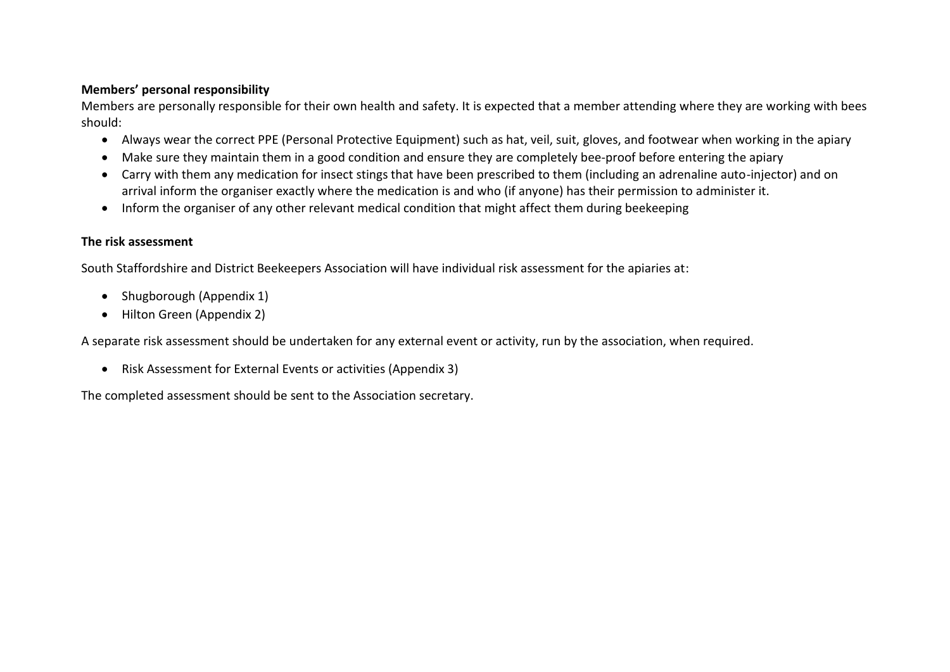#### **Members' personal responsibility**

Members are personally responsible for their own health and safety. It is expected that a member attending where they are working with bees should:

- Always wear the correct PPE (Personal Protective Equipment) such as hat, veil, suit, gloves, and footwear when working in the apiary
- Make sure they maintain them in a good condition and ensure they are completely bee-proof before entering the apiary
- Carry with them any medication for insect stings that have been prescribed to them (including an adrenaline auto-injector) and on arrival inform the organiser exactly where the medication is and who (if anyone) has their permission to administer it.
- Inform the organiser of any other relevant medical condition that might affect them during beekeeping

#### **The risk assessment**

South Staffordshire and District Beekeepers Association will have individual risk assessment for the apiaries at:

- Shugborough (Appendix 1)
- Hilton Green (Appendix 2)

A separate risk assessment should be undertaken for any external event or activity, run by the association, when required.

• Risk Assessment for External Events or activities (Appendix 3)

The completed assessment should be sent to the Association secretary.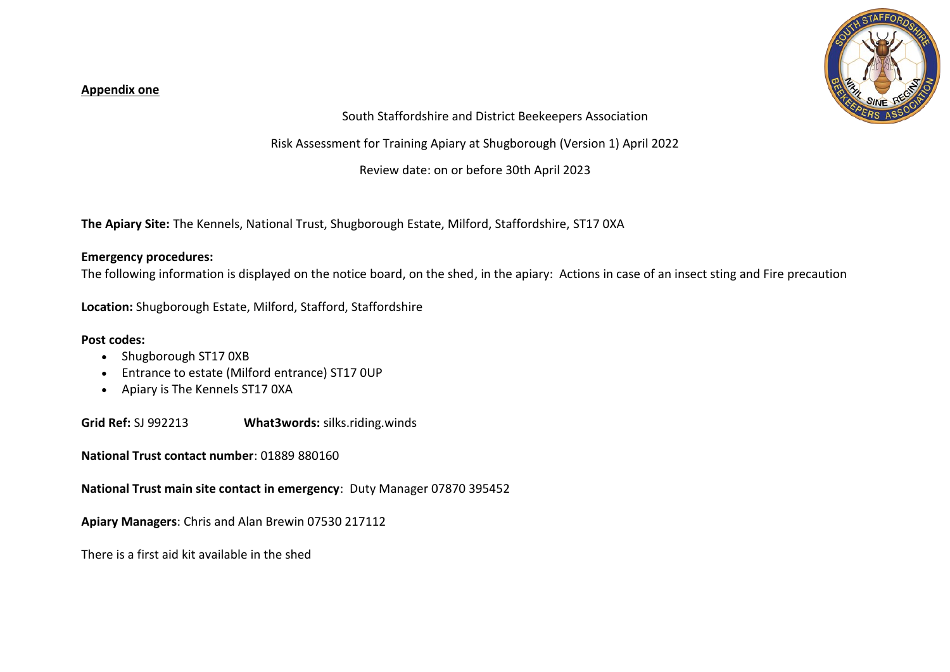#### **Appendix one**



### South Staffordshire and District Beekeepers Association

Risk Assessment for Training Apiary at Shugborough (Version 1) April 2022

Review date: on or before 30th April 2023

**The Apiary Site:** The Kennels, National Trust, Shugborough Estate, Milford, Staffordshire, ST17 0XA

### **Emergency procedures:**

The following information is displayed on the notice board, on the shed, in the apiary: Actions in case of an insect sting and Fire precaution

**Location:** Shugborough Estate, Milford, Stafford, Staffordshire

### **Post codes:**

- Shugborough ST17 0XB
- Entrance to estate (Milford entrance) ST17 0UP
- Apiary is The Kennels ST17 0XA

**Grid Ref:** SJ 992213 **What3words:** silks.riding.winds

**National Trust contact number**: 01889 880160

**National Trust main site contact in emergency**: Duty Manager 07870 395452

**Apiary Managers**: Chris and Alan Brewin 07530 217112

There is a first aid kit available in the shed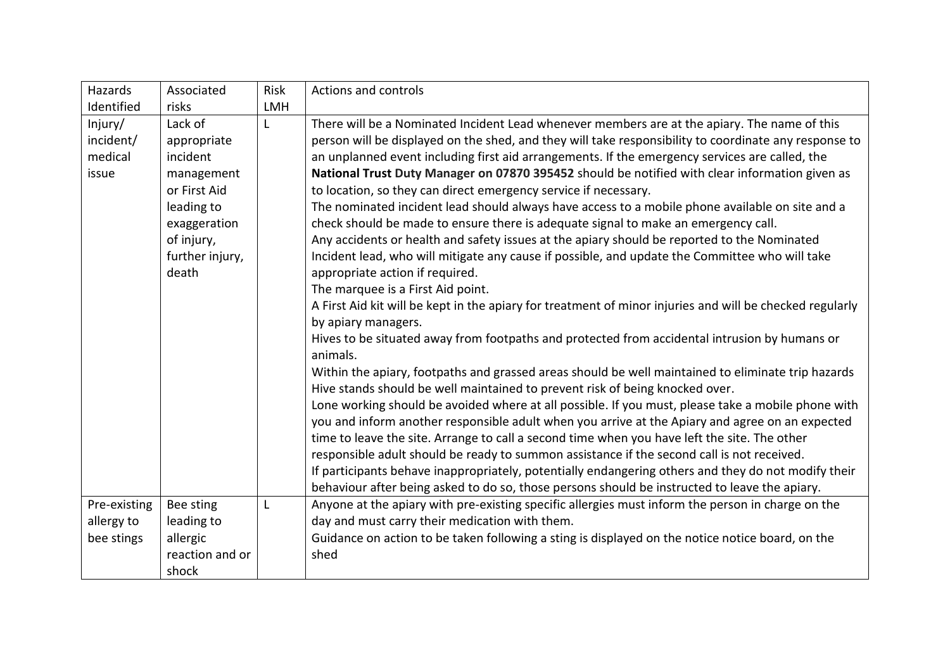| Hazards                                  | Associated                                                                                                                               | Risk       | <b>Actions and controls</b>                                                                                                                                                                                                                                                                                                                                                                                                                                                                                                                                                                                                                                                                                                                                                                                                                                                                                                                                                                                                                                                                                                                                                                                                                                                                                                                                                                                                                                                                                                                                                                                                                                                                                                                                                                                                                                                                        |
|------------------------------------------|------------------------------------------------------------------------------------------------------------------------------------------|------------|----------------------------------------------------------------------------------------------------------------------------------------------------------------------------------------------------------------------------------------------------------------------------------------------------------------------------------------------------------------------------------------------------------------------------------------------------------------------------------------------------------------------------------------------------------------------------------------------------------------------------------------------------------------------------------------------------------------------------------------------------------------------------------------------------------------------------------------------------------------------------------------------------------------------------------------------------------------------------------------------------------------------------------------------------------------------------------------------------------------------------------------------------------------------------------------------------------------------------------------------------------------------------------------------------------------------------------------------------------------------------------------------------------------------------------------------------------------------------------------------------------------------------------------------------------------------------------------------------------------------------------------------------------------------------------------------------------------------------------------------------------------------------------------------------------------------------------------------------------------------------------------------------|
| Identified                               | risks                                                                                                                                    | <b>LMH</b> |                                                                                                                                                                                                                                                                                                                                                                                                                                                                                                                                                                                                                                                                                                                                                                                                                                                                                                                                                                                                                                                                                                                                                                                                                                                                                                                                                                                                                                                                                                                                                                                                                                                                                                                                                                                                                                                                                                    |
| Injury/<br>incident/<br>medical<br>issue | Lack of<br>appropriate<br>incident<br>management<br>or First Aid<br>leading to<br>exaggeration<br>of injury,<br>further injury,<br>death | L          | There will be a Nominated Incident Lead whenever members are at the apiary. The name of this<br>person will be displayed on the shed, and they will take responsibility to coordinate any response to<br>an unplanned event including first aid arrangements. If the emergency services are called, the<br>National Trust Duty Manager on 07870 395452 should be notified with clear information given as<br>to location, so they can direct emergency service if necessary.<br>The nominated incident lead should always have access to a mobile phone available on site and a<br>check should be made to ensure there is adequate signal to make an emergency call.<br>Any accidents or health and safety issues at the apiary should be reported to the Nominated<br>Incident lead, who will mitigate any cause if possible, and update the Committee who will take<br>appropriate action if required.<br>The marquee is a First Aid point.<br>A First Aid kit will be kept in the apiary for treatment of minor injuries and will be checked regularly<br>by apiary managers.<br>Hives to be situated away from footpaths and protected from accidental intrusion by humans or<br>animals.<br>Within the apiary, footpaths and grassed areas should be well maintained to eliminate trip hazards<br>Hive stands should be well maintained to prevent risk of being knocked over.<br>Lone working should be avoided where at all possible. If you must, please take a mobile phone with<br>you and inform another responsible adult when you arrive at the Apiary and agree on an expected<br>time to leave the site. Arrange to call a second time when you have left the site. The other<br>responsible adult should be ready to summon assistance if the second call is not received.<br>If participants behave inappropriately, potentially endangering others and they do not modify their |
| Pre-existing                             | Bee sting                                                                                                                                | L          | behaviour after being asked to do so, those persons should be instructed to leave the apiary.<br>Anyone at the apiary with pre-existing specific allergies must inform the person in charge on the                                                                                                                                                                                                                                                                                                                                                                                                                                                                                                                                                                                                                                                                                                                                                                                                                                                                                                                                                                                                                                                                                                                                                                                                                                                                                                                                                                                                                                                                                                                                                                                                                                                                                                 |
| allergy to                               | leading to                                                                                                                               |            | day and must carry their medication with them.                                                                                                                                                                                                                                                                                                                                                                                                                                                                                                                                                                                                                                                                                                                                                                                                                                                                                                                                                                                                                                                                                                                                                                                                                                                                                                                                                                                                                                                                                                                                                                                                                                                                                                                                                                                                                                                     |
| bee stings                               | allergic                                                                                                                                 |            | Guidance on action to be taken following a sting is displayed on the notice notice board, on the                                                                                                                                                                                                                                                                                                                                                                                                                                                                                                                                                                                                                                                                                                                                                                                                                                                                                                                                                                                                                                                                                                                                                                                                                                                                                                                                                                                                                                                                                                                                                                                                                                                                                                                                                                                                   |
|                                          | reaction and or                                                                                                                          |            | shed                                                                                                                                                                                                                                                                                                                                                                                                                                                                                                                                                                                                                                                                                                                                                                                                                                                                                                                                                                                                                                                                                                                                                                                                                                                                                                                                                                                                                                                                                                                                                                                                                                                                                                                                                                                                                                                                                               |
|                                          | shock                                                                                                                                    |            |                                                                                                                                                                                                                                                                                                                                                                                                                                                                                                                                                                                                                                                                                                                                                                                                                                                                                                                                                                                                                                                                                                                                                                                                                                                                                                                                                                                                                                                                                                                                                                                                                                                                                                                                                                                                                                                                                                    |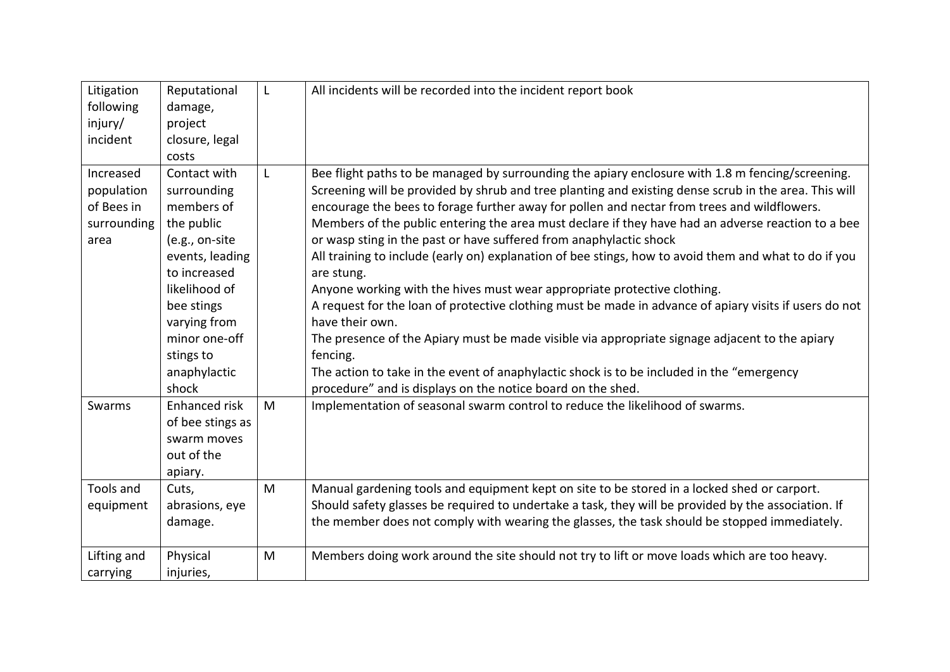| Litigation<br>following<br>injury/<br>incident               | Reputational<br>damage,<br>project<br>closure, legal<br>costs                                                                                                                             | L | All incidents will be recorded into the incident report book                                                                                                                                                                                                                                                                                                                                                                                                                                                                                                                                                                                                                                                                                                                                                                                                                                                                       |
|--------------------------------------------------------------|-------------------------------------------------------------------------------------------------------------------------------------------------------------------------------------------|---|------------------------------------------------------------------------------------------------------------------------------------------------------------------------------------------------------------------------------------------------------------------------------------------------------------------------------------------------------------------------------------------------------------------------------------------------------------------------------------------------------------------------------------------------------------------------------------------------------------------------------------------------------------------------------------------------------------------------------------------------------------------------------------------------------------------------------------------------------------------------------------------------------------------------------------|
| Increased<br>population<br>of Bees in<br>surrounding<br>area | Contact with<br>surrounding<br>members of<br>the public<br>(e.g., on-site<br>events, leading<br>to increased<br>likelihood of<br>bee stings<br>varying from<br>minor one-off<br>stings to | L | Bee flight paths to be managed by surrounding the apiary enclosure with 1.8 m fencing/screening.<br>Screening will be provided by shrub and tree planting and existing dense scrub in the area. This will<br>encourage the bees to forage further away for pollen and nectar from trees and wildflowers.<br>Members of the public entering the area must declare if they have had an adverse reaction to a bee<br>or wasp sting in the past or have suffered from anaphylactic shock<br>All training to include (early on) explanation of bee stings, how to avoid them and what to do if you<br>are stung.<br>Anyone working with the hives must wear appropriate protective clothing.<br>A request for the loan of protective clothing must be made in advance of apiary visits if users do not<br>have their own.<br>The presence of the Apiary must be made visible via appropriate signage adjacent to the apiary<br>fencing. |
|                                                              | anaphylactic<br>shock                                                                                                                                                                     |   | The action to take in the event of anaphylactic shock is to be included in the "emergency<br>procedure" and is displays on the notice board on the shed.                                                                                                                                                                                                                                                                                                                                                                                                                                                                                                                                                                                                                                                                                                                                                                           |
| Swarms                                                       | <b>Enhanced risk</b><br>of bee stings as<br>swarm moves<br>out of the<br>apiary.                                                                                                          | M | Implementation of seasonal swarm control to reduce the likelihood of swarms.                                                                                                                                                                                                                                                                                                                                                                                                                                                                                                                                                                                                                                                                                                                                                                                                                                                       |
| Tools and<br>equipment                                       | Cuts,<br>abrasions, eye<br>damage.                                                                                                                                                        | M | Manual gardening tools and equipment kept on site to be stored in a locked shed or carport.<br>Should safety glasses be required to undertake a task, they will be provided by the association. If<br>the member does not comply with wearing the glasses, the task should be stopped immediately.                                                                                                                                                                                                                                                                                                                                                                                                                                                                                                                                                                                                                                 |
| Lifting and<br>carrying                                      | Physical<br>injuries,                                                                                                                                                                     | M | Members doing work around the site should not try to lift or move loads which are too heavy.                                                                                                                                                                                                                                                                                                                                                                                                                                                                                                                                                                                                                                                                                                                                                                                                                                       |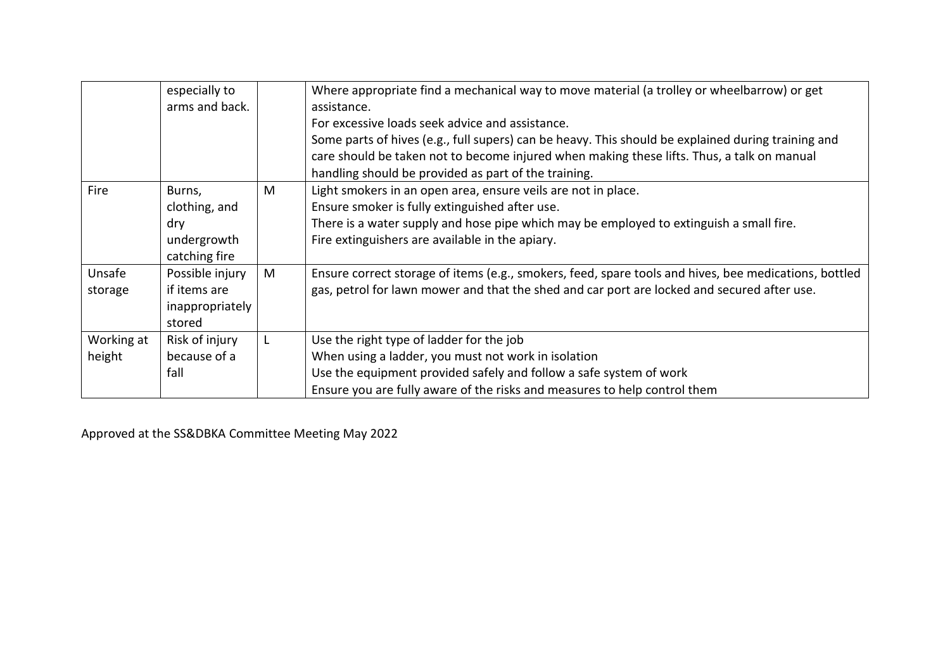|            | especially to<br>arms and back. |   | Where appropriate find a mechanical way to move material (a trolley or wheelbarrow) or get<br>assistance.<br>For excessive loads seek advice and assistance.<br>Some parts of hives (e.g., full supers) can be heavy. This should be explained during training and<br>care should be taken not to become injured when making these lifts. Thus, a talk on manual |
|------------|---------------------------------|---|------------------------------------------------------------------------------------------------------------------------------------------------------------------------------------------------------------------------------------------------------------------------------------------------------------------------------------------------------------------|
|            |                                 |   | handling should be provided as part of the training.                                                                                                                                                                                                                                                                                                             |
| Fire       | Burns,                          | M | Light smokers in an open area, ensure veils are not in place.                                                                                                                                                                                                                                                                                                    |
|            | clothing, and                   |   | Ensure smoker is fully extinguished after use.                                                                                                                                                                                                                                                                                                                   |
|            | dry                             |   | There is a water supply and hose pipe which may be employed to extinguish a small fire.                                                                                                                                                                                                                                                                          |
|            | undergrowth                     |   | Fire extinguishers are available in the apiary.                                                                                                                                                                                                                                                                                                                  |
|            | catching fire                   |   |                                                                                                                                                                                                                                                                                                                                                                  |
| Unsafe     | Possible injury                 | M | Ensure correct storage of items (e.g., smokers, feed, spare tools and hives, bee medications, bottled                                                                                                                                                                                                                                                            |
| storage    | if items are                    |   | gas, petrol for lawn mower and that the shed and car port are locked and secured after use.                                                                                                                                                                                                                                                                      |
|            | inappropriately                 |   |                                                                                                                                                                                                                                                                                                                                                                  |
|            | stored                          |   |                                                                                                                                                                                                                                                                                                                                                                  |
| Working at | Risk of injury                  |   | Use the right type of ladder for the job                                                                                                                                                                                                                                                                                                                         |
| height     | because of a                    |   | When using a ladder, you must not work in isolation                                                                                                                                                                                                                                                                                                              |
|            | fall                            |   | Use the equipment provided safely and follow a safe system of work                                                                                                                                                                                                                                                                                               |
|            |                                 |   | Ensure you are fully aware of the risks and measures to help control them                                                                                                                                                                                                                                                                                        |

Approved at the SS&DBKA Committee Meeting May 2022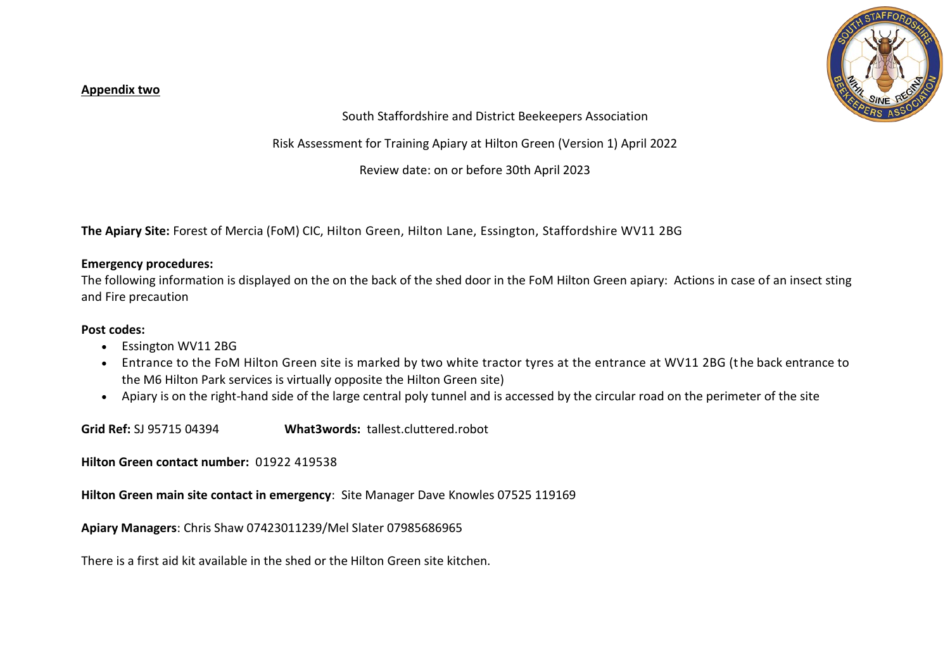#### **Appendix two**



South Staffordshire and District Beekeepers Association

Risk Assessment for Training Apiary at Hilton Green (Version 1) April 2022

Review date: on or before 30th April 2023

**The Apiary Site:** Forest of Mercia (FoM) CIC, Hilton Green, Hilton Lane, Essington, Staffordshire WV11 2BG

#### **Emergency procedures:**

The following information is displayed on the on the back of the shed door in the FoM Hilton Green apiary: Actions in case of an insect sting and Fire precaution

#### **Post codes:**

- Essington WV11 2BG
- Entrance to the FoM Hilton Green site is marked by two white tractor tyres at the entrance at WV11 2BG (t he back entrance to the M6 Hilton Park services is virtually opposite the Hilton Green site)
- Apiary is on the right-hand side of the large central poly tunnel and is accessed by the circular road on the perimeter of the site

**Grid Ref:** SJ 95715 04394 **What3words:** tallest.cluttered.robot

**Hilton Green contact number:** 01922 419538

**Hilton Green main site contact in emergency**: Site Manager Dave Knowles 07525 119169

**Apiary Managers**: Chris Shaw 07423011239/Mel Slater 07985686965

There is a first aid kit available in the shed or the Hilton Green site kitchen.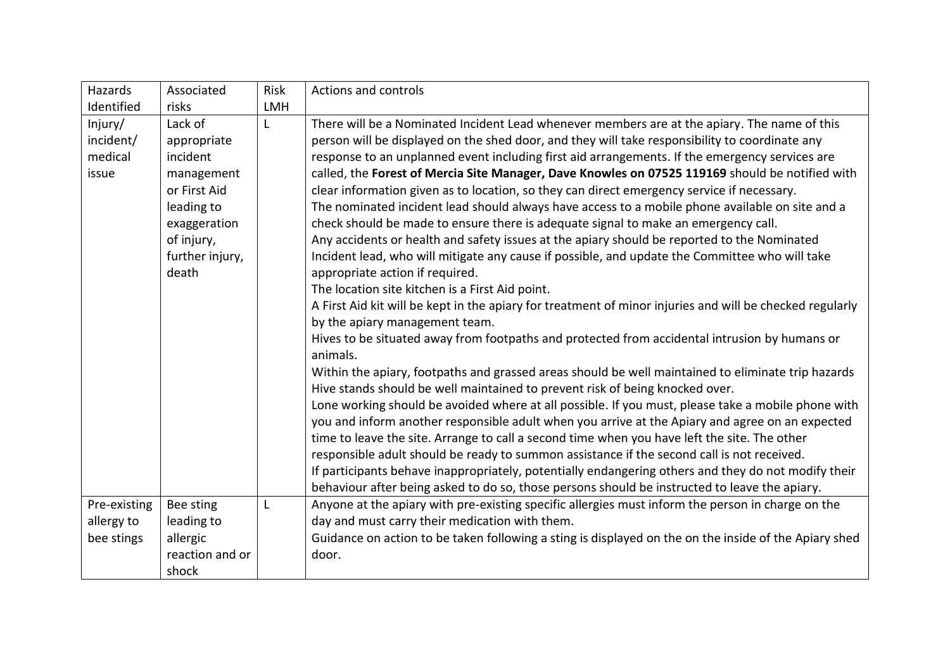| Hazards                                  | Associated                                                                                                                               | Risk       | <b>Actions and controls</b>                                                                                                                                                                                                                                                                                                                                                                                                                                                                                                                                                                                                                                                                                                                                                                                                                                                                                                                                                                                                                                                                                                                                                                                                                                                                                                                                                                                                                                                                                                                                                                                                                                                                                                                                                                                                                                                                                                                                                                                                                       |
|------------------------------------------|------------------------------------------------------------------------------------------------------------------------------------------|------------|---------------------------------------------------------------------------------------------------------------------------------------------------------------------------------------------------------------------------------------------------------------------------------------------------------------------------------------------------------------------------------------------------------------------------------------------------------------------------------------------------------------------------------------------------------------------------------------------------------------------------------------------------------------------------------------------------------------------------------------------------------------------------------------------------------------------------------------------------------------------------------------------------------------------------------------------------------------------------------------------------------------------------------------------------------------------------------------------------------------------------------------------------------------------------------------------------------------------------------------------------------------------------------------------------------------------------------------------------------------------------------------------------------------------------------------------------------------------------------------------------------------------------------------------------------------------------------------------------------------------------------------------------------------------------------------------------------------------------------------------------------------------------------------------------------------------------------------------------------------------------------------------------------------------------------------------------------------------------------------------------------------------------------------------------|
| Identified                               | risks                                                                                                                                    | <b>LMH</b> |                                                                                                                                                                                                                                                                                                                                                                                                                                                                                                                                                                                                                                                                                                                                                                                                                                                                                                                                                                                                                                                                                                                                                                                                                                                                                                                                                                                                                                                                                                                                                                                                                                                                                                                                                                                                                                                                                                                                                                                                                                                   |
| Injury/<br>incident/<br>medical<br>issue | Lack of<br>appropriate<br>incident<br>management<br>or First Aid<br>leading to<br>exaggeration<br>of injury,<br>further injury,<br>death | L          | There will be a Nominated Incident Lead whenever members are at the apiary. The name of this<br>person will be displayed on the shed door, and they will take responsibility to coordinate any<br>response to an unplanned event including first aid arrangements. If the emergency services are<br>called, the Forest of Mercia Site Manager, Dave Knowles on 07525 119169 should be notified with<br>clear information given as to location, so they can direct emergency service if necessary.<br>The nominated incident lead should always have access to a mobile phone available on site and a<br>check should be made to ensure there is adequate signal to make an emergency call.<br>Any accidents or health and safety issues at the apiary should be reported to the Nominated<br>Incident lead, who will mitigate any cause if possible, and update the Committee who will take<br>appropriate action if required.<br>The location site kitchen is a First Aid point.<br>A First Aid kit will be kept in the apiary for treatment of minor injuries and will be checked regularly<br>by the apiary management team.<br>Hives to be situated away from footpaths and protected from accidental intrusion by humans or<br>animals.<br>Within the apiary, footpaths and grassed areas should be well maintained to eliminate trip hazards<br>Hive stands should be well maintained to prevent risk of being knocked over.<br>Lone working should be avoided where at all possible. If you must, please take a mobile phone with<br>you and inform another responsible adult when you arrive at the Apiary and agree on an expected<br>time to leave the site. Arrange to call a second time when you have left the site. The other<br>responsible adult should be ready to summon assistance if the second call is not received.<br>If participants behave inappropriately, potentially endangering others and they do not modify their<br>behaviour after being asked to do so, those persons should be instructed to leave the apiary. |
| Pre-existing                             | Bee sting                                                                                                                                | L          | Anyone at the apiary with pre-existing specific allergies must inform the person in charge on the                                                                                                                                                                                                                                                                                                                                                                                                                                                                                                                                                                                                                                                                                                                                                                                                                                                                                                                                                                                                                                                                                                                                                                                                                                                                                                                                                                                                                                                                                                                                                                                                                                                                                                                                                                                                                                                                                                                                                 |
| allergy to                               | leading to                                                                                                                               |            | day and must carry their medication with them.                                                                                                                                                                                                                                                                                                                                                                                                                                                                                                                                                                                                                                                                                                                                                                                                                                                                                                                                                                                                                                                                                                                                                                                                                                                                                                                                                                                                                                                                                                                                                                                                                                                                                                                                                                                                                                                                                                                                                                                                    |
| bee stings                               | allergic                                                                                                                                 |            | Guidance on action to be taken following a sting is displayed on the on the inside of the Apiary shed                                                                                                                                                                                                                                                                                                                                                                                                                                                                                                                                                                                                                                                                                                                                                                                                                                                                                                                                                                                                                                                                                                                                                                                                                                                                                                                                                                                                                                                                                                                                                                                                                                                                                                                                                                                                                                                                                                                                             |
|                                          | reaction and or                                                                                                                          |            | door.                                                                                                                                                                                                                                                                                                                                                                                                                                                                                                                                                                                                                                                                                                                                                                                                                                                                                                                                                                                                                                                                                                                                                                                                                                                                                                                                                                                                                                                                                                                                                                                                                                                                                                                                                                                                                                                                                                                                                                                                                                             |
|                                          | shock                                                                                                                                    |            |                                                                                                                                                                                                                                                                                                                                                                                                                                                                                                                                                                                                                                                                                                                                                                                                                                                                                                                                                                                                                                                                                                                                                                                                                                                                                                                                                                                                                                                                                                                                                                                                                                                                                                                                                                                                                                                                                                                                                                                                                                                   |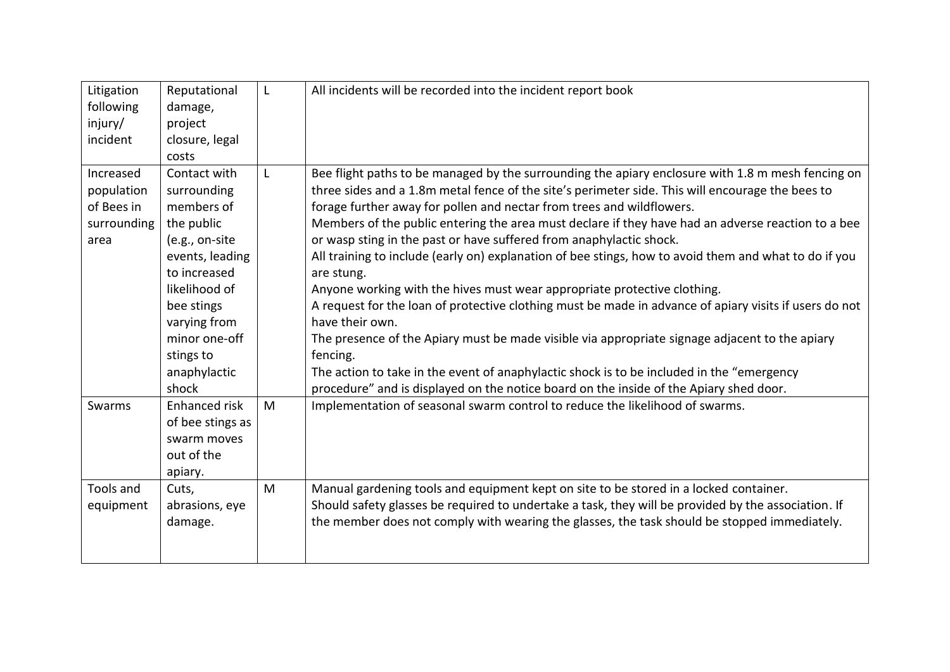| Litigation<br>following<br>injury/<br>incident               | Reputational<br>damage,<br>project<br>closure, legal<br>costs                                                                                                                                                      | L      | All incidents will be recorded into the incident report book                                                                                                                                                                                                                                                                                                                                                                                                                                                                                                                                                                                                                                                                                                                                                                                                                                                                                                                                                                                                                                     |
|--------------------------------------------------------------|--------------------------------------------------------------------------------------------------------------------------------------------------------------------------------------------------------------------|--------|--------------------------------------------------------------------------------------------------------------------------------------------------------------------------------------------------------------------------------------------------------------------------------------------------------------------------------------------------------------------------------------------------------------------------------------------------------------------------------------------------------------------------------------------------------------------------------------------------------------------------------------------------------------------------------------------------------------------------------------------------------------------------------------------------------------------------------------------------------------------------------------------------------------------------------------------------------------------------------------------------------------------------------------------------------------------------------------------------|
| Increased<br>population<br>of Bees in<br>surrounding<br>area | Contact with<br>surrounding<br>members of<br>the public<br>(e.g., on-site<br>events, leading<br>to increased<br>likelihood of<br>bee stings<br>varying from<br>minor one-off<br>stings to<br>anaphylactic<br>shock | L      | Bee flight paths to be managed by the surrounding the apiary enclosure with 1.8 m mesh fencing on<br>three sides and a 1.8m metal fence of the site's perimeter side. This will encourage the bees to<br>forage further away for pollen and nectar from trees and wildflowers.<br>Members of the public entering the area must declare if they have had an adverse reaction to a bee<br>or wasp sting in the past or have suffered from anaphylactic shock.<br>All training to include (early on) explanation of bee stings, how to avoid them and what to do if you<br>are stung.<br>Anyone working with the hives must wear appropriate protective clothing.<br>A request for the loan of protective clothing must be made in advance of apiary visits if users do not<br>have their own.<br>The presence of the Apiary must be made visible via appropriate signage adjacent to the apiary<br>fencing.<br>The action to take in the event of anaphylactic shock is to be included in the "emergency<br>procedure" and is displayed on the notice board on the inside of the Apiary shed door. |
| Swarms<br>Tools and                                          | Enhanced risk<br>of bee stings as<br>swarm moves<br>out of the<br>apiary.                                                                                                                                          | M<br>M | Implementation of seasonal swarm control to reduce the likelihood of swarms.                                                                                                                                                                                                                                                                                                                                                                                                                                                                                                                                                                                                                                                                                                                                                                                                                                                                                                                                                                                                                     |
| equipment                                                    | Cuts,<br>abrasions, eye<br>damage.                                                                                                                                                                                 |        | Manual gardening tools and equipment kept on site to be stored in a locked container.<br>Should safety glasses be required to undertake a task, they will be provided by the association. If<br>the member does not comply with wearing the glasses, the task should be stopped immediately.                                                                                                                                                                                                                                                                                                                                                                                                                                                                                                                                                                                                                                                                                                                                                                                                     |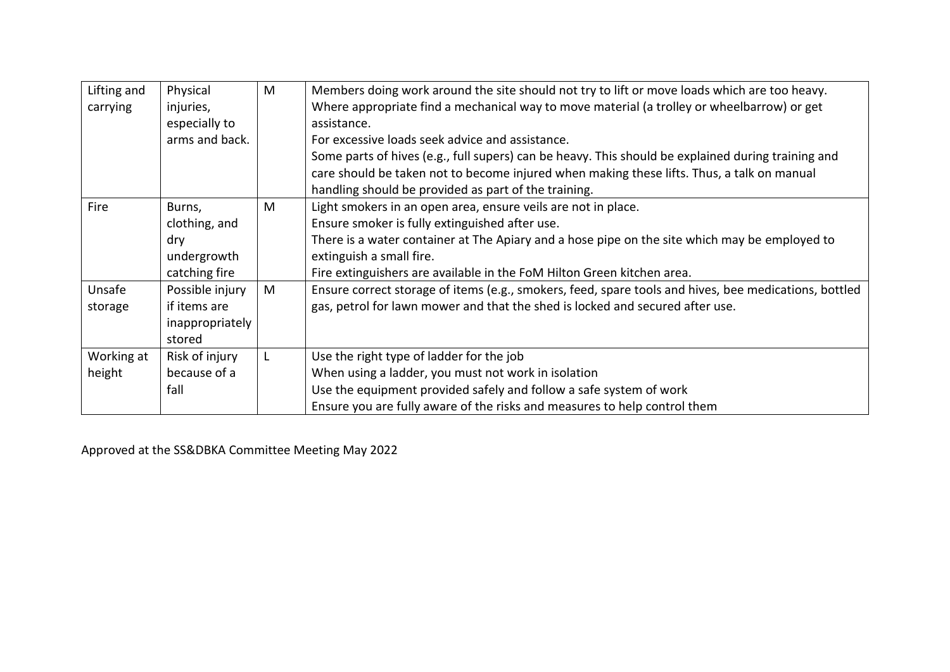| Lifting and<br>carrying | Physical<br>injuries,<br>especially to<br>arms and back.       | M | Members doing work around the site should not try to lift or move loads which are too heavy.<br>Where appropriate find a mechanical way to move material (a trolley or wheelbarrow) or get<br>assistance.<br>For excessive loads seek advice and assistance.<br>Some parts of hives (e.g., full supers) can be heavy. This should be explained during training and<br>care should be taken not to become injured when making these lifts. Thus, a talk on manual<br>handling should be provided as part of the training. |
|-------------------------|----------------------------------------------------------------|---|--------------------------------------------------------------------------------------------------------------------------------------------------------------------------------------------------------------------------------------------------------------------------------------------------------------------------------------------------------------------------------------------------------------------------------------------------------------------------------------------------------------------------|
| Fire                    | Burns,<br>clothing, and<br>dry<br>undergrowth<br>catching fire | M | Light smokers in an open area, ensure veils are not in place.<br>Ensure smoker is fully extinguished after use.<br>There is a water container at The Apiary and a hose pipe on the site which may be employed to<br>extinguish a small fire.<br>Fire extinguishers are available in the FoM Hilton Green kitchen area.                                                                                                                                                                                                   |
| Unsafe<br>storage       | Possible injury<br>if items are<br>inappropriately<br>stored   | M | Ensure correct storage of items (e.g., smokers, feed, spare tools and hives, bee medications, bottled<br>gas, petrol for lawn mower and that the shed is locked and secured after use.                                                                                                                                                                                                                                                                                                                                   |
| Working at<br>height    | Risk of injury<br>because of a<br>fall                         | L | Use the right type of ladder for the job<br>When using a ladder, you must not work in isolation<br>Use the equipment provided safely and follow a safe system of work<br>Ensure you are fully aware of the risks and measures to help control them                                                                                                                                                                                                                                                                       |

Approved at the SS&DBKA Committee Meeting May 2022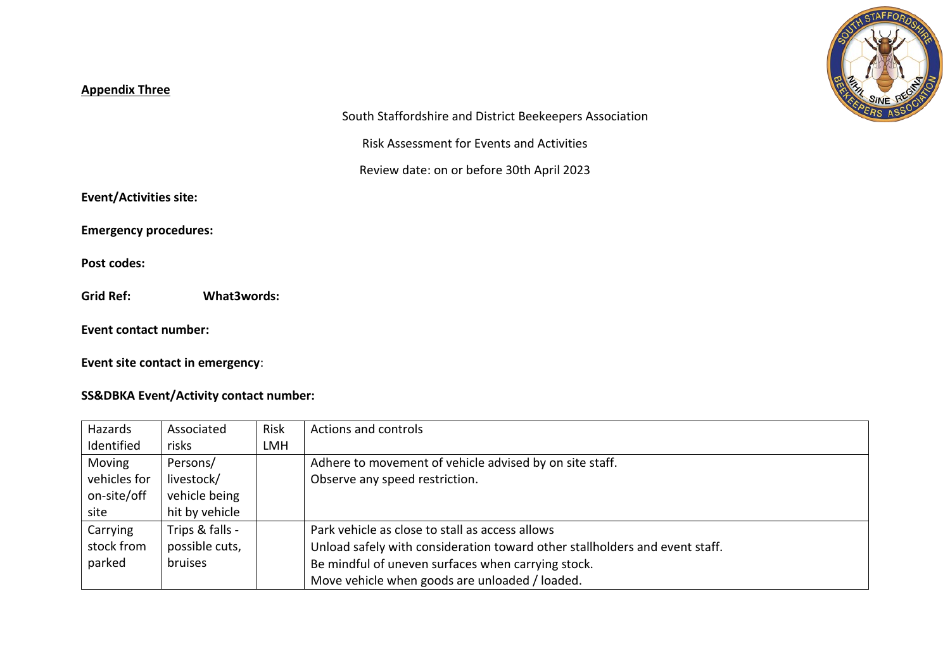## **Appendix Three**



South Staffordshire and District Beekeepers Association

Risk Assessment for Events and Activities

Review date: on or before 30th April 2023

**Event/Activities site:**

**Emergency procedures:**

**Post codes:**

**Grid Ref: What3words:**

**Event contact number:** 

**Event site contact in emergency**:

# **SS&DBKA Event/Activity contact number:**

| Hazards      | Associated      | Risk       | Actions and controls                                                        |
|--------------|-----------------|------------|-----------------------------------------------------------------------------|
| Identified   | risks           | <b>LMH</b> |                                                                             |
| Moving       | Persons/        |            | Adhere to movement of vehicle advised by on site staff.                     |
| vehicles for | livestock/      |            | Observe any speed restriction.                                              |
| on-site/off  | vehicle being   |            |                                                                             |
| site         | hit by vehicle  |            |                                                                             |
| Carrying     | Trips & falls - |            | Park vehicle as close to stall as access allows                             |
| stock from   | possible cuts,  |            | Unload safely with consideration toward other stallholders and event staff. |
| parked       | bruises         |            | Be mindful of uneven surfaces when carrying stock.                          |
|              |                 |            | Move vehicle when goods are unloaded / loaded.                              |